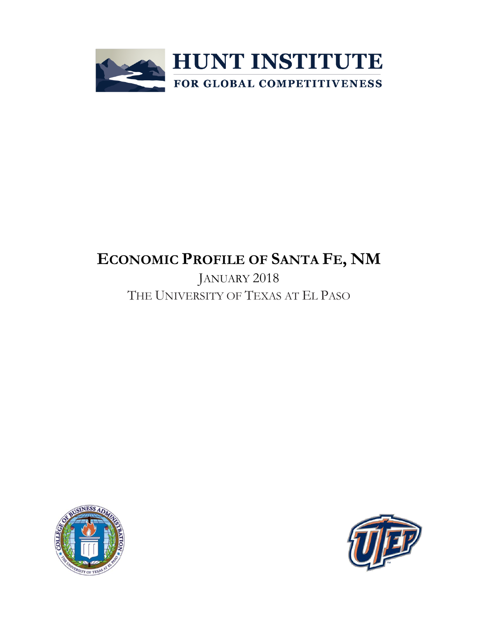

# **ECONOMIC PROFILE OF SANTA FE, NM**

JANUARY 2018 THE UNIVERSITY OF TEXAS AT EL PASO



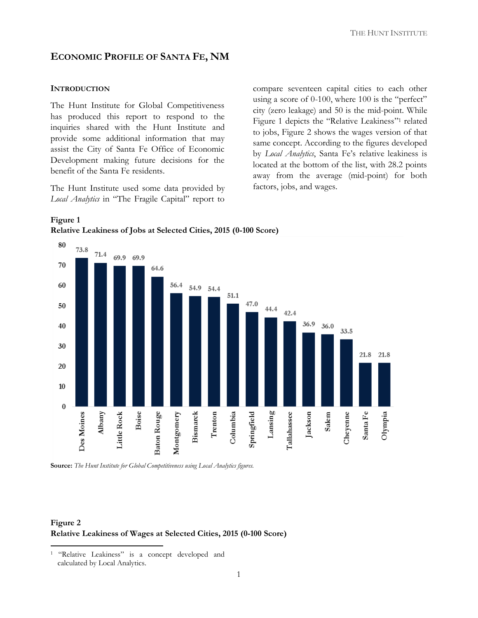## **ECONOMIC PROFILE OF SANTA FE, NM**

#### **INTRODUCTION**

The Hunt Institute for Global Competitiveness has produced this report to respond to the inquiries shared with the Hunt Institute and provide some additional information that may assist the City of Santa Fe Office of Economic Development making future decisions for the benefit of the Santa Fe residents.

The Hunt Institute used some data provided by *Local Analytics* in "The Fragile Capital" report to

compare seventeen capital cities to each other using a score of 0-100, where 100 is the "perfect" city (zero leakage) and 50 is the mid-point. While Figure 1 depicts the "Relative Leakiness"<sup>1</sup> related to jobs, Figure 2 shows the wages version of that same concept. According to the figures developed by *Local Analytics*, Santa Fe's relative leakiness is located at the bottom of the list, with 28.2 points away from the average (mid-point) for both factors, jobs, and wages.





**Source:** *The Hunt Institute for Global Competitiveness using Local Analytics figures.*

## **Figure 2 Relative Leakiness of Wages at Selected Cities, 2015 (0-100 Score)**

 $\overline{\phantom{a}}$ 

<sup>&</sup>lt;sup>1</sup> "Relative Leakiness" is a concept developed and calculated by Local Analytics.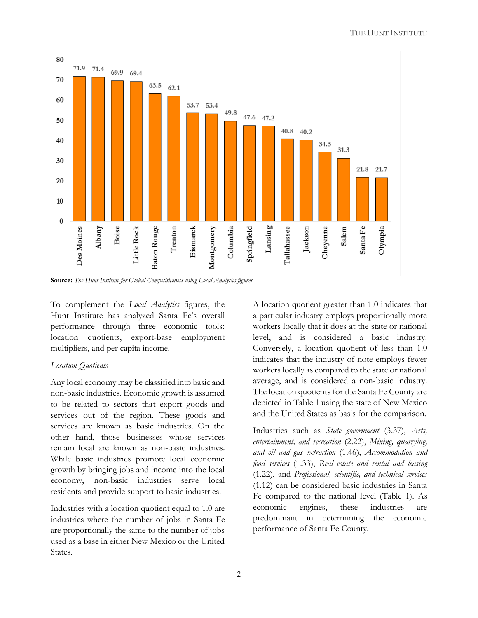

**Source:** *The Hunt Institute for Global Competitiveness using Local Analytics figures.*

To complement the *Local Analytics* figures, the Hunt Institute has analyzed Santa Fe's overall performance through three economic tools: location quotients, export-base employment multipliers, and per capita income.

### *Location Quotients*

Any local economy may be classified into basic and non-basic industries. Economic growth is assumed to be related to sectors that export goods and services out of the region. These goods and services are known as basic industries. On the other hand, those businesses whose services remain local are known as non-basic industries. While basic industries promote local economic growth by bringing jobs and income into the local economy, non-basic industries serve local residents and provide support to basic industries.

Industries with a location quotient equal to 1.0 are industries where the number of jobs in Santa Fe are proportionally the same to the number of jobs used as a base in either New Mexico or the United States.

A location quotient greater than 1.0 indicates that a particular industry employs proportionally more workers locally that it does at the state or national level, and is considered a basic industry. Conversely, a location quotient of less than 1.0 indicates that the industry of note employs fewer workers locally as compared to the state or national average, and is considered a non-basic industry. The location quotients for the Santa Fe County are depicted in Table 1 using the state of New Mexico and the United States as basis for the comparison.

Industries such as *State government* (3.37), *Arts, entertainment, and recreation* (2.22), *Mining, quarrying, and oil and gas extraction* (1.46), *Accommodation and food services* (1.33), *Real estate and rental and leasing* (1.22), and *Professional, scientific, and technical services* (1.12) can be considered basic industries in Santa Fe compared to the national level (Table 1). As economic engines, these industries are predominant in determining the economic performance of Santa Fe County.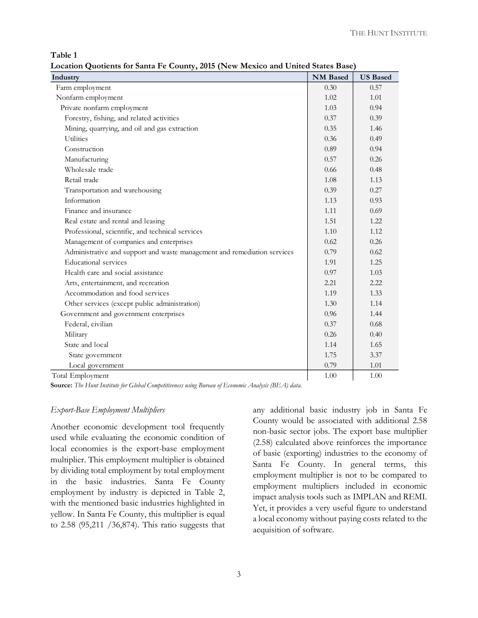**Table 1**

**Location Quotients for Santa Fe County, 2015 (New Mexico and United States Base)**

| Industry                                                                 | <b>NM</b> Based | <b>US Based</b> |
|--------------------------------------------------------------------------|-----------------|-----------------|
| Farm employment                                                          | 0.30            | 0.57            |
| Nonfarm employment                                                       | 1.02            | 1.01            |
| Private nonfarm employment                                               | 1.03            | 0.94            |
| Forestry, fishing, and related activities                                | 0.37            | 0.39            |
| Mining, quarrying, and oil and gas extraction                            | 0.35            | 1.46            |
| <b>Utilities</b>                                                         | 0.36            | 0.49            |
| Construction                                                             | 0.89            | 0.94            |
| Manufacturing                                                            | 0.57            | 0.26            |
| Wholesale trade                                                          | 0.66            | 0.48            |
| Retail trade                                                             | 1.08            | 1.13            |
| Transportation and warehousing                                           | 0.39            | 0.27            |
| Information                                                              | 1.13            | 0.93            |
| Finance and insurance                                                    | 1.11            | 0.69            |
| Real estate and rental and leasing                                       | 1.51            | 1.22            |
| Professional, scientific, and technical services                         | 1.10            | 1.12            |
| Management of companies and enterprises                                  | 0.62            | 0.26            |
| Administrative and support and waste management and remediation services | 0.79            | 0.62            |
| <b>Educational</b> services                                              | 1.91            | 1.25            |
| Health care and social assistance                                        | 0.97            | 1.03            |
| Arts, entertainment, and recreation                                      | 2.21            | 2.22            |
| Accommodation and food services                                          | 1.19            | 1.33            |
| Other services (except public administration)                            | 1.30            | 1.14            |
| Government and government enterprises                                    | 0.96            | 1.44            |
| Federal, civilian                                                        | 0.37            | 0.68            |
| Military                                                                 | 0.26            | 0.40            |
| State and local                                                          | 1.14            | 1.65            |
| State government                                                         | 1.75            | 3.37            |
| Local government                                                         | 0.79            | 1.01            |
| Total Employment                                                         | 1.00            | 1.00            |

**Source:** *The Hunt Institute for Global Competitiveness using Bureau of Economic Analysis (BEA) data.*

#### *Export-Base Employment Multipliers*

Another economic development tool frequently used while evaluating the economic condition of local economies is the export-base employment multiplier. This employment multiplier is obtained by dividing total employment by total employment in the basic industries. Santa Fe County employment by industry is depicted in Table 2, with the mentioned basic industries highlighted in yellow. In Santa Fe County, this multiplier is equal to 2.58 (95,211 /36,874). This ratio suggests that

any additional basic industry job in Santa Fe County would be associated with additional 2.58 non-basic sector jobs. The export base multiplier (2.58) calculated above reinforces the importance of basic (exporting) industries to the economy of Santa Fe County. In general terms, this employment multiplier is not to be compared to employment multipliers included in economic impact analysis tools such as IMPLAN and REMI. Yet, it provides a very useful figure to understand a local economy without paying costs related to the acquisition of software.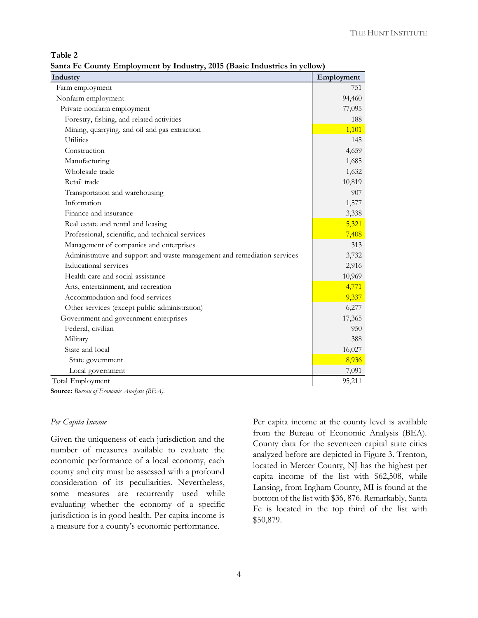| able |  |
|------|--|
|------|--|

|  |  |  |  | Santa Fe County Employment by Industry, 2015 (Basic Industries in yellow) |  |  |
|--|--|--|--|---------------------------------------------------------------------------|--|--|
|  |  |  |  |                                                                           |  |  |

| Industry                                                                 | Employment |
|--------------------------------------------------------------------------|------------|
| Farm employment                                                          | 751        |
| Nonfarm employment                                                       | 94,460     |
| Private nonfarm employment                                               | 77,095     |
| Forestry, fishing, and related activities                                | 188        |
| Mining, quarrying, and oil and gas extraction                            | 1,101      |
| <b>Utilities</b>                                                         | 145        |
| Construction                                                             | 4,659      |
| Manufacturing                                                            | 1,685      |
| Wholesale trade                                                          | 1,632      |
| Retail trade                                                             | 10,819     |
| Transportation and warehousing                                           | 907        |
| Information                                                              | 1,577      |
| Finance and insurance                                                    | 3,338      |
| Real estate and rental and leasing                                       | 5,321      |
| Professional, scientific, and technical services                         | 7,408      |
| Management of companies and enterprises                                  | 313        |
| Administrative and support and waste management and remediation services | 3,732      |
| Educational services                                                     | 2,916      |
| Health care and social assistance                                        | 10,969     |
| Arts, entertainment, and recreation                                      | 4,771      |
| Accommodation and food services                                          | 9,337      |
| Other services (except public administration)                            | 6,277      |
| Government and government enterprises                                    | 17,365     |
| Federal, civilian                                                        | 950        |
| Military                                                                 | 388        |
| State and local                                                          | 16,027     |
| State government                                                         | 8,936      |
| Local government                                                         | 7,091      |
| Total Employment                                                         | 95,211     |

**Source:** *Bureau of Economic Analysis (BEA).*

#### *Per Capita Income*

Given the uniqueness of each jurisdiction and the number of measures available to evaluate the economic performance of a local economy, each county and city must be assessed with a profound consideration of its peculiarities. Nevertheless, some measures are recurrently used while evaluating whether the economy of a specific jurisdiction is in good health. Per capita income is a measure for a county's economic performance.

Per capita income at the county level is available from the Bureau of Economic Analysis (BEA). County data for the seventeen capital state cities analyzed before are depicted in Figure 3. Trenton, located in Mercer County, NJ has the highest per capita income of the list with \$62,508, while Lansing, from Ingham County, MI is found at the bottom of the list with \$36, 876. Remarkably, Santa Fe is located in the top third of the list with \$50,879.